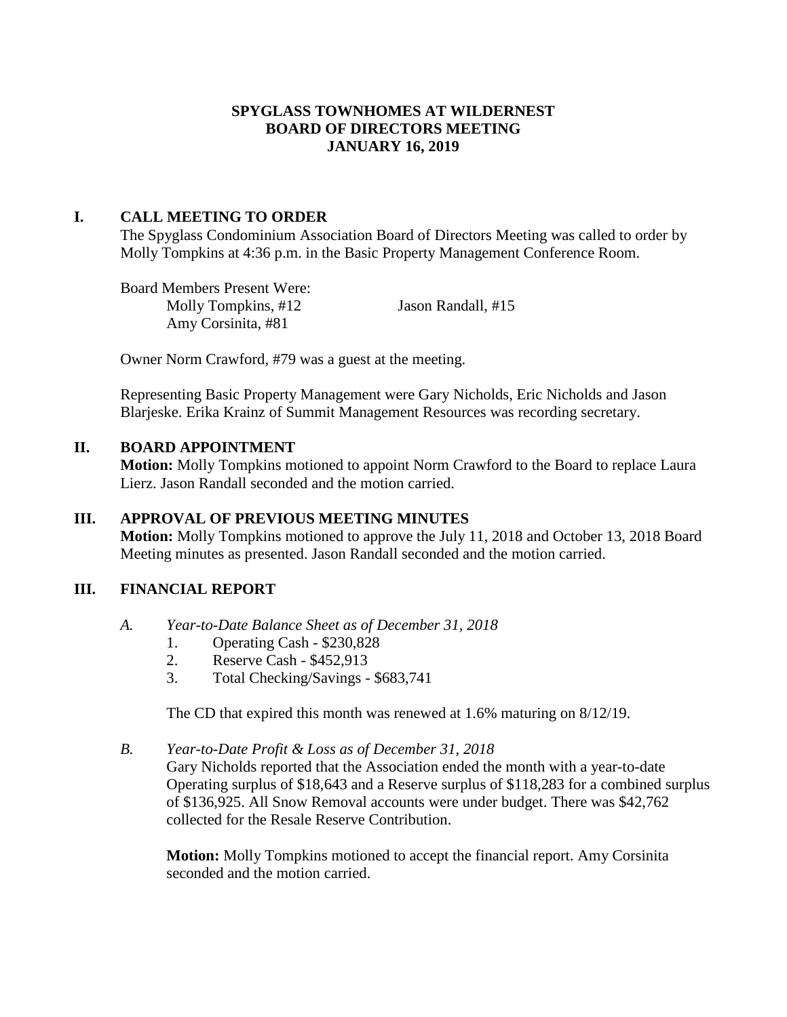### **SPYGLASS TOWNHOMES AT WILDERNEST BOARD OF DIRECTORS MEETING JANUARY 16, 2019**

### **I. CALL MEETING TO ORDER**

The Spyglass Condominium Association Board of Directors Meeting was called to order by Molly Tompkins at 4:36 p.m. in the Basic Property Management Conference Room.

Board Members Present Were: Molly Tompkins, #12 Jason Randall, #15 Amy Corsinita, #81

Owner Norm Crawford, #79 was a guest at the meeting.

Representing Basic Property Management were Gary Nicholds, Eric Nicholds and Jason Blarjeske. Erika Krainz of Summit Management Resources was recording secretary.

# **II. BOARD APPOINTMENT**

**Motion:** Molly Tompkins motioned to appoint Norm Crawford to the Board to replace Laura Lierz. Jason Randall seconded and the motion carried.

# **III. APPROVAL OF PREVIOUS MEETING MINUTES**

**Motion:** Molly Tompkins motioned to approve the July 11, 2018 and October 13, 2018 Board Meeting minutes as presented. Jason Randall seconded and the motion carried.

# **III. FINANCIAL REPORT**

- *A. Year-to-Date Balance Sheet as of December 31, 2018*
	- 1. Operating Cash \$230,828
	- 2. Reserve Cash \$452,913
	- 3. Total Checking/Savings \$683,741

The CD that expired this month was renewed at 1.6% maturing on 8/12/19.

### *B. Year-to-Date Profit & Loss as of December 31, 2018*

Gary Nicholds reported that the Association ended the month with a year-to-date Operating surplus of \$18,643 and a Reserve surplus of \$118,283 for a combined surplus of \$136,925. All Snow Removal accounts were under budget. There was \$42,762 collected for the Resale Reserve Contribution.

**Motion:** Molly Tompkins motioned to accept the financial report. Amy Corsinita seconded and the motion carried.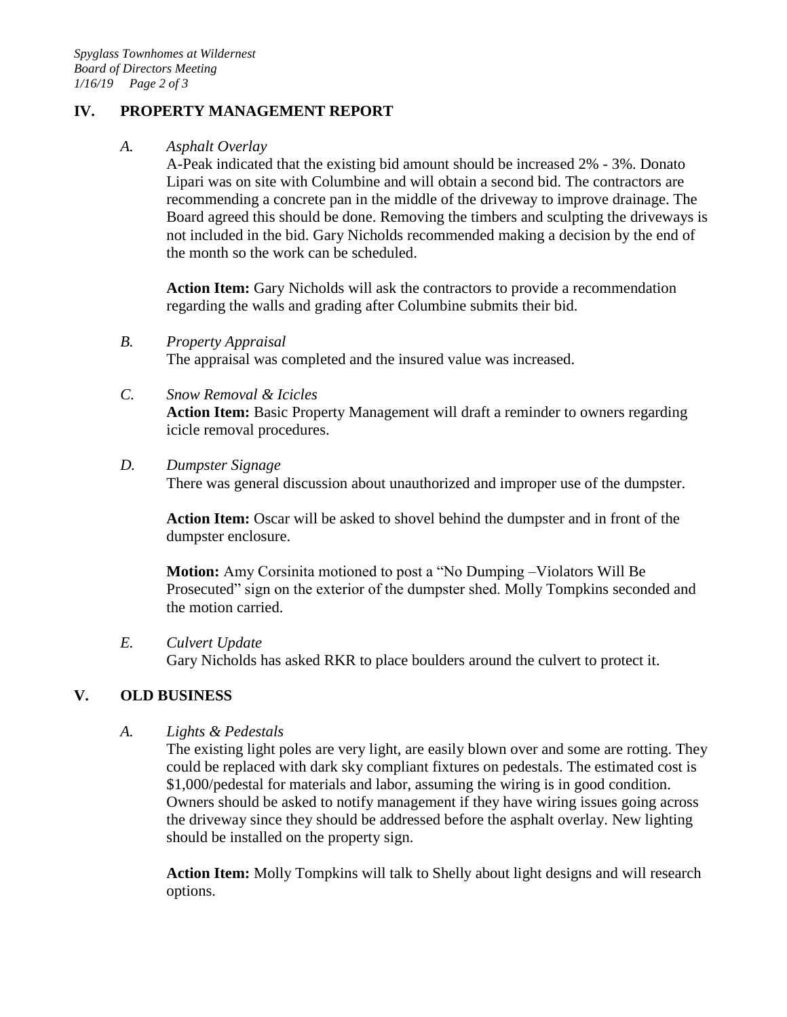# **IV. PROPERTY MANAGEMENT REPORT**

*A. Asphalt Overlay*

A-Peak indicated that the existing bid amount should be increased 2% - 3%. Donato Lipari was on site with Columbine and will obtain a second bid. The contractors are recommending a concrete pan in the middle of the driveway to improve drainage. The Board agreed this should be done. Removing the timbers and sculpting the driveways is not included in the bid. Gary Nicholds recommended making a decision by the end of the month so the work can be scheduled.

Action Item: Gary Nicholds will ask the contractors to provide a recommendation regarding the walls and grading after Columbine submits their bid.

The appraisal was completed and the insured value was increased.

*C. Snow Removal & Icicles*

**Action Item:** Basic Property Management will draft a reminder to owners regarding icicle removal procedures.

*D. Dumpster Signage*

There was general discussion about unauthorized and improper use of the dumpster.

**Action Item:** Oscar will be asked to shovel behind the dumpster and in front of the dumpster enclosure.

**Motion:** Amy Corsinita motioned to post a "No Dumping –Violators Will Be Prosecuted" sign on the exterior of the dumpster shed. Molly Tompkins seconded and the motion carried.

*E. Culvert Update*

Gary Nicholds has asked RKR to place boulders around the culvert to protect it.

# **V. OLD BUSINESS**

*A. Lights & Pedestals*

The existing light poles are very light, are easily blown over and some are rotting. They could be replaced with dark sky compliant fixtures on pedestals. The estimated cost is \$1,000/pedestal for materials and labor, assuming the wiring is in good condition. Owners should be asked to notify management if they have wiring issues going across the driveway since they should be addressed before the asphalt overlay. New lighting should be installed on the property sign.

**Action Item:** Molly Tompkins will talk to Shelly about light designs and will research options.

*B. Property Appraisal*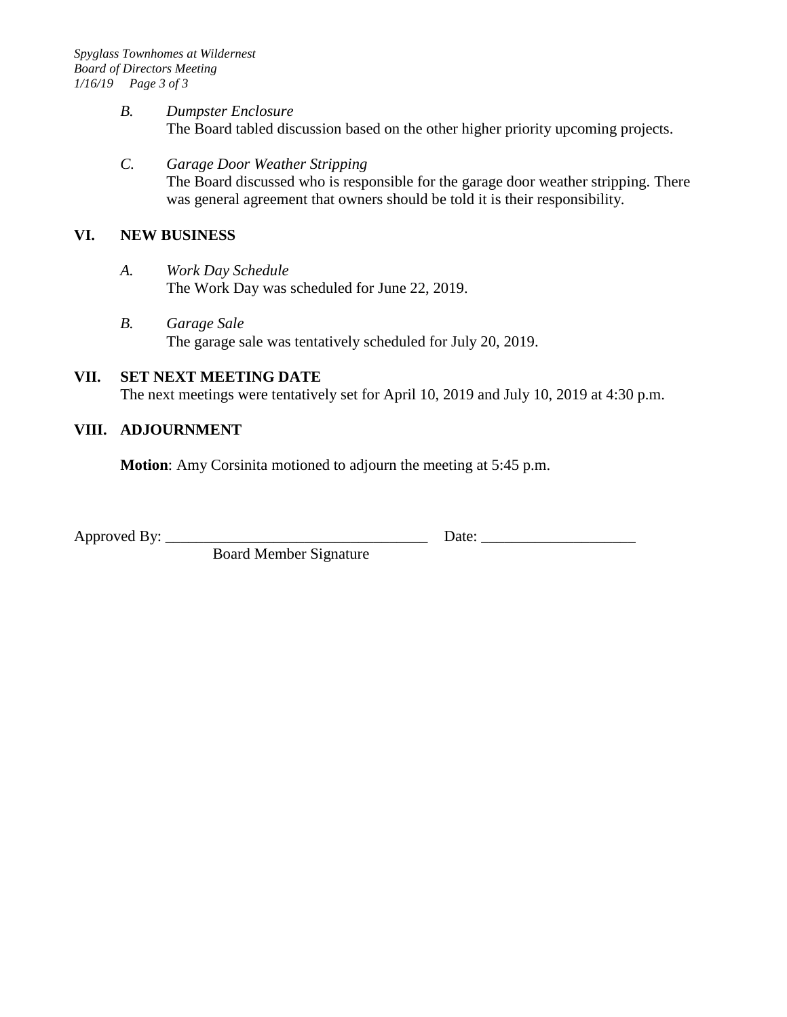#### *B. Dumpster Enclosure* The Board tabled discussion based on the other higher priority upcoming projects.

*C. Garage Door Weather Stripping*  The Board discussed who is responsible for the garage door weather stripping. There was general agreement that owners should be told it is their responsibility.

# **VI. NEW BUSINESS**

- *A. Work Day Schedule* The Work Day was scheduled for June 22, 2019.
- *B. Garage Sale* The garage sale was tentatively scheduled for July 20, 2019.

# **VII. SET NEXT MEETING DATE**

The next meetings were tentatively set for April 10, 2019 and July 10, 2019 at 4:30 p.m.

# **VIII. ADJOURNMENT**

**Motion**: Amy Corsinita motioned to adjourn the meeting at 5:45 p.m.

Approved By: \_\_\_\_\_\_\_\_\_\_\_\_\_\_\_\_\_\_\_\_\_\_\_\_\_\_\_\_\_\_\_\_\_\_ Date: \_\_\_\_\_\_\_\_\_\_\_\_\_\_\_\_\_\_\_\_

Board Member Signature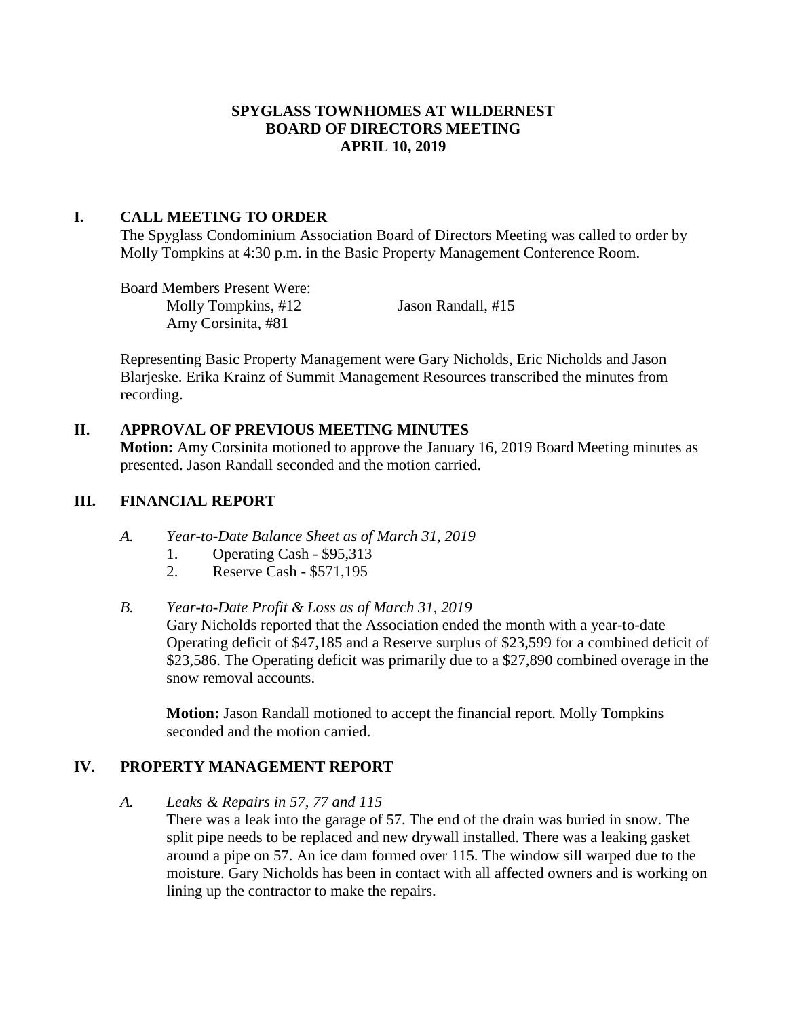### **SPYGLASS TOWNHOMES AT WILDERNEST BOARD OF DIRECTORS MEETING APRIL 10, 2019**

### **I. CALL MEETING TO ORDER**

The Spyglass Condominium Association Board of Directors Meeting was called to order by Molly Tompkins at 4:30 p.m. in the Basic Property Management Conference Room.

Board Members Present Were: Molly Tompkins, #12 Jason Randall, #15 Amy Corsinita, #81

Representing Basic Property Management were Gary Nicholds, Eric Nicholds and Jason Blarjeske. Erika Krainz of Summit Management Resources transcribed the minutes from recording.

### **II. APPROVAL OF PREVIOUS MEETING MINUTES**

**Motion:** Amy Corsinita motioned to approve the January 16, 2019 Board Meeting minutes as presented. Jason Randall seconded and the motion carried.

### **III. FINANCIAL REPORT**

- *A. Year-to-Date Balance Sheet as of March 31, 2019*
	- 1. Operating Cash \$95,313
	- 2. Reserve Cash \$571,195

#### *B. Year-to-Date Profit & Loss as of March 31, 2019*

Gary Nicholds reported that the Association ended the month with a year-to-date Operating deficit of \$47,185 and a Reserve surplus of \$23,599 for a combined deficit of \$23,586. The Operating deficit was primarily due to a \$27,890 combined overage in the snow removal accounts.

**Motion:** Jason Randall motioned to accept the financial report. Molly Tompkins seconded and the motion carried.

# **IV. PROPERTY MANAGEMENT REPORT**

*A. Leaks & Repairs in 57, 77 and 115* There was a leak into the garage of 57. The end of the drain was buried in snow. The split pipe needs to be replaced and new drywall installed. There was a leaking gasket around a pipe on 57. An ice dam formed over 115. The window sill warped due to the moisture. Gary Nicholds has been in contact with all affected owners and is working on lining up the contractor to make the repairs.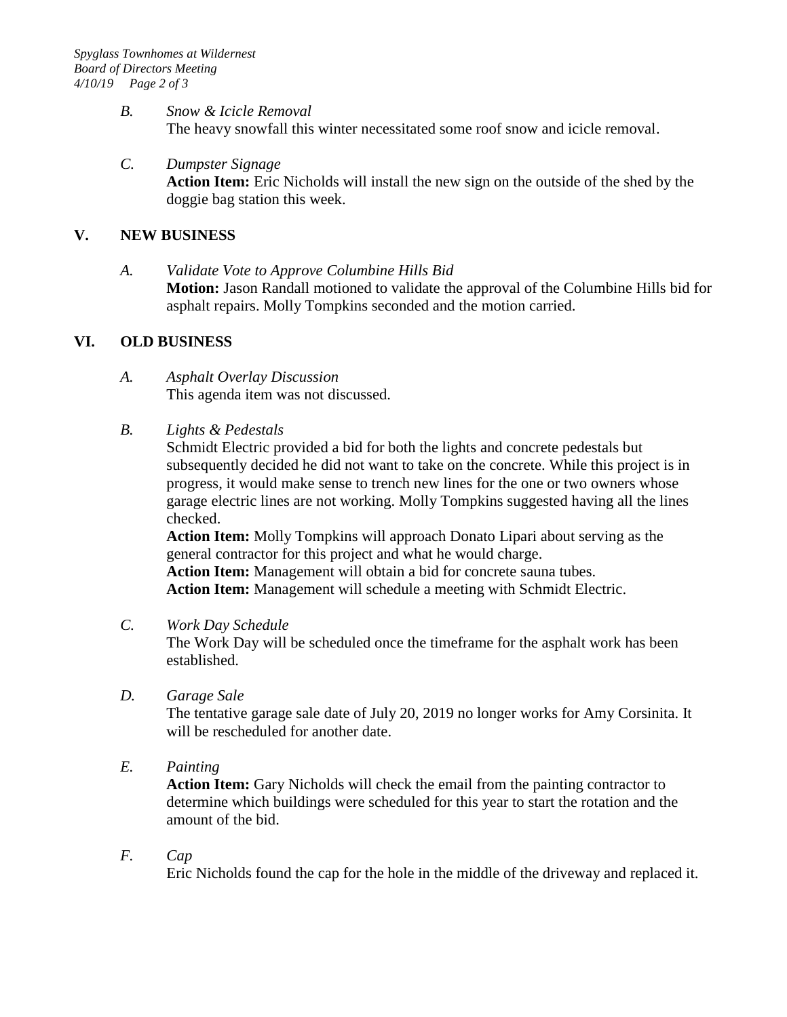### *B. Snow & Icicle Removal* The heavy snowfall this winter necessitated some roof snow and icicle removal.

*C. Dumpster Signage* **Action Item:** Eric Nicholds will install the new sign on the outside of the shed by the doggie bag station this week.

# **V. NEW BUSINESS**

*A. Validate Vote to Approve Columbine Hills Bid* **Motion:** Jason Randall motioned to validate the approval of the Columbine Hills bid for asphalt repairs. Molly Tompkins seconded and the motion carried.

# **VI. OLD BUSINESS**

- *A. Asphalt Overlay Discussion* This agenda item was not discussed.
- *B. Lights & Pedestals*

Schmidt Electric provided a bid for both the lights and concrete pedestals but subsequently decided he did not want to take on the concrete. While this project is in progress, it would make sense to trench new lines for the one or two owners whose garage electric lines are not working. Molly Tompkins suggested having all the lines checked.

**Action Item:** Molly Tompkins will approach Donato Lipari about serving as the general contractor for this project and what he would charge.

**Action Item:** Management will obtain a bid for concrete sauna tubes. **Action Item:** Management will schedule a meeting with Schmidt Electric.

*C. Work Day Schedule* 

The Work Day will be scheduled once the timeframe for the asphalt work has been established.

*D. Garage Sale*

The tentative garage sale date of July 20, 2019 no longer works for Amy Corsinita. It will be rescheduled for another date.

*E. Painting*

**Action Item:** Gary Nicholds will check the email from the painting contractor to determine which buildings were scheduled for this year to start the rotation and the amount of the bid.

*F. Cap*

Eric Nicholds found the cap for the hole in the middle of the driveway and replaced it.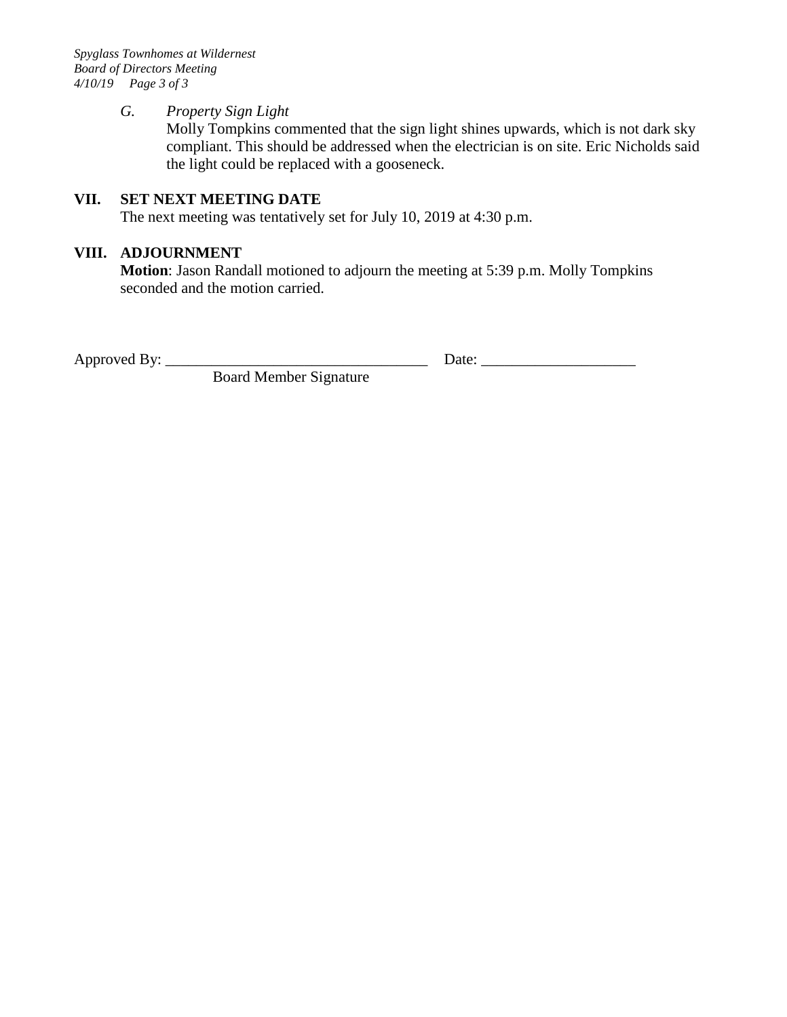*Spyglass Townhomes at Wildernest Board of Directors Meeting 4/10/19 Page 3 of 3*

#### *G. Property Sign Light*

Molly Tompkins commented that the sign light shines upwards, which is not dark sky compliant. This should be addressed when the electrician is on site. Eric Nicholds said the light could be replaced with a gooseneck.

# **VII. SET NEXT MEETING DATE**

The next meeting was tentatively set for July 10, 2019 at 4:30 p.m.

### **VIII. ADJOURNMENT**

**Motion**: Jason Randall motioned to adjourn the meeting at 5:39 p.m. Molly Tompkins seconded and the motion carried.

Approved By: \_\_\_\_\_\_\_\_\_\_\_\_\_\_\_\_\_\_\_\_\_\_\_\_\_\_\_\_\_\_\_\_\_\_ Date: \_\_\_\_\_\_\_\_\_\_\_\_\_\_\_\_\_\_\_\_

Board Member Signature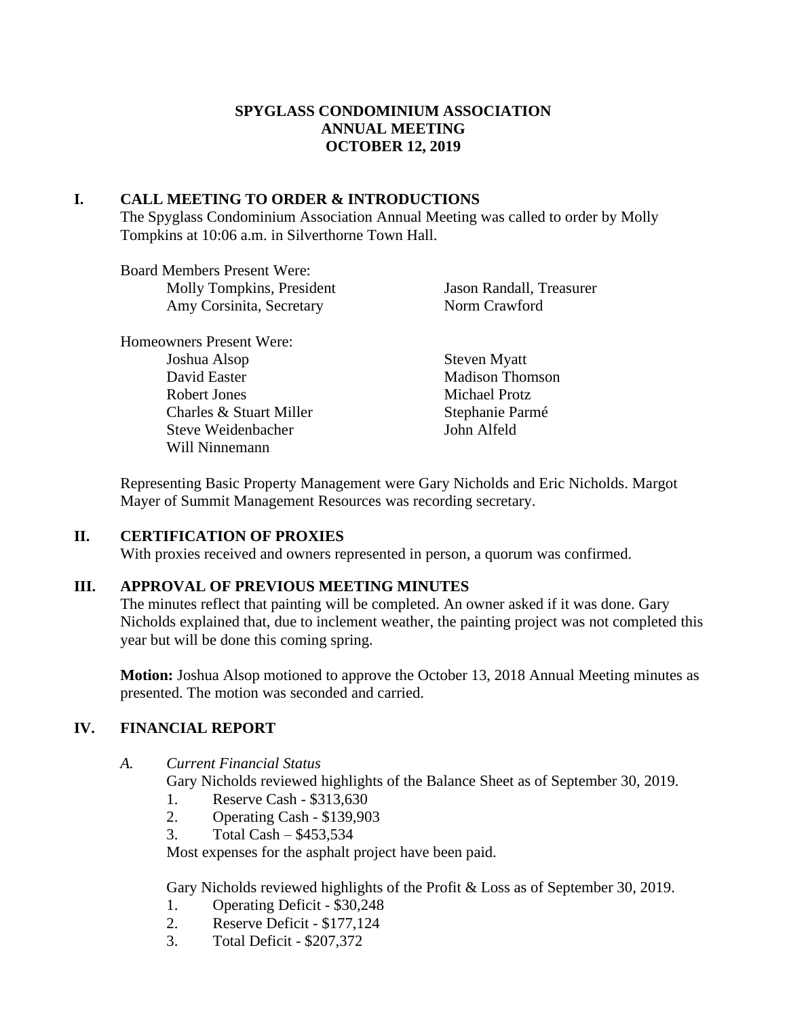# **SPYGLASS CONDOMINIUM ASSOCIATION ANNUAL MEETING OCTOBER 12, 2019**

### **I. CALL MEETING TO ORDER & INTRODUCTIONS**

The Spyglass Condominium Association Annual Meeting was called to order by Molly Tompkins at 10:06 a.m. in Silverthorne Town Hall.

Board Members Present Were: Molly Tompkins, President Jason Randall, Treasurer Amy Corsinita, Secretary Norm Crawford Homeowners Present Were: Joshua Alsop Steven Myatt David Easter Madison Thomson Robert Jones Michael Protz

Charles & Stuart Miller Stephanie Parmé Steve Weidenbacher John Alfeld Will Ninnemann

Representing Basic Property Management were Gary Nicholds and Eric Nicholds. Margot Mayer of Summit Management Resources was recording secretary.

# **II. CERTIFICATION OF PROXIES**

With proxies received and owners represented in person, a quorum was confirmed.

# **III. APPROVAL OF PREVIOUS MEETING MINUTES**

The minutes reflect that painting will be completed. An owner asked if it was done. Gary Nicholds explained that, due to inclement weather, the painting project was not completed this year but will be done this coming spring.

**Motion:** Joshua Alsop motioned to approve the October 13, 2018 Annual Meeting minutes as presented. The motion was seconded and carried.

# **IV. FINANCIAL REPORT**

### *A. Current Financial Status*

Gary Nicholds reviewed highlights of the Balance Sheet as of September 30, 2019.

- 1. Reserve Cash \$313,630
- 2. Operating Cash \$139,903
- 3. Total Cash \$453,534

Most expenses for the asphalt project have been paid.

Gary Nicholds reviewed highlights of the Profit & Loss as of September 30, 2019.

- 1. Operating Deficit \$30,248
- 2. Reserve Deficit \$177,124
- 3. Total Deficit \$207,372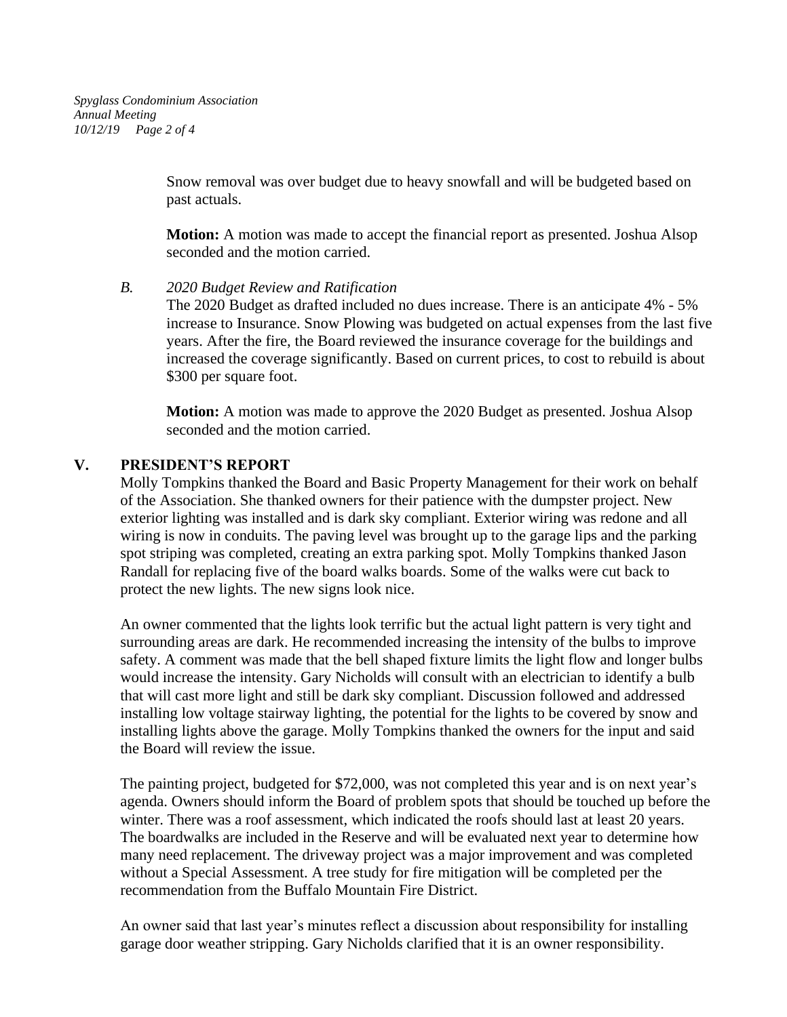Snow removal was over budget due to heavy snowfall and will be budgeted based on past actuals.

**Motion:** A motion was made to accept the financial report as presented. Joshua Alsop seconded and the motion carried.

#### *B. 2020 Budget Review and Ratification*

The 2020 Budget as drafted included no dues increase. There is an anticipate 4% - 5% increase to Insurance. Snow Plowing was budgeted on actual expenses from the last five years. After the fire, the Board reviewed the insurance coverage for the buildings and increased the coverage significantly. Based on current prices, to cost to rebuild is about \$300 per square foot.

**Motion:** A motion was made to approve the 2020 Budget as presented. Joshua Alsop seconded and the motion carried.

### **V. PRESIDENT'S REPORT**

Molly Tompkins thanked the Board and Basic Property Management for their work on behalf of the Association. She thanked owners for their patience with the dumpster project. New exterior lighting was installed and is dark sky compliant. Exterior wiring was redone and all wiring is now in conduits. The paving level was brought up to the garage lips and the parking spot striping was completed, creating an extra parking spot. Molly Tompkins thanked Jason Randall for replacing five of the board walks boards. Some of the walks were cut back to protect the new lights. The new signs look nice.

An owner commented that the lights look terrific but the actual light pattern is very tight and surrounding areas are dark. He recommended increasing the intensity of the bulbs to improve safety. A comment was made that the bell shaped fixture limits the light flow and longer bulbs would increase the intensity. Gary Nicholds will consult with an electrician to identify a bulb that will cast more light and still be dark sky compliant. Discussion followed and addressed installing low voltage stairway lighting, the potential for the lights to be covered by snow and installing lights above the garage. Molly Tompkins thanked the owners for the input and said the Board will review the issue.

The painting project, budgeted for \$72,000, was not completed this year and is on next year's agenda. Owners should inform the Board of problem spots that should be touched up before the winter. There was a roof assessment, which indicated the roofs should last at least 20 years. The boardwalks are included in the Reserve and will be evaluated next year to determine how many need replacement. The driveway project was a major improvement and was completed without a Special Assessment. A tree study for fire mitigation will be completed per the recommendation from the Buffalo Mountain Fire District.

An owner said that last year's minutes reflect a discussion about responsibility for installing garage door weather stripping. Gary Nicholds clarified that it is an owner responsibility.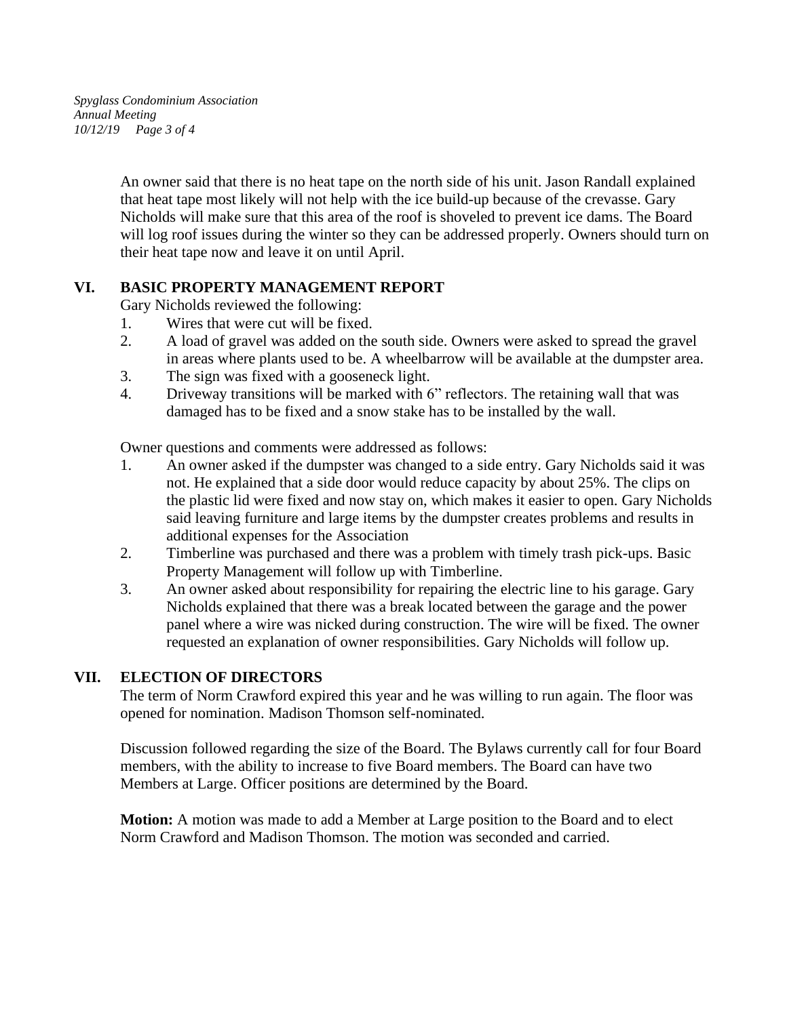*Spyglass Condominium Association Annual Meeting 10/12/19 Page 3 of 4*

> An owner said that there is no heat tape on the north side of his unit. Jason Randall explained that heat tape most likely will not help with the ice build-up because of the crevasse. Gary Nicholds will make sure that this area of the roof is shoveled to prevent ice dams. The Board will log roof issues during the winter so they can be addressed properly. Owners should turn on their heat tape now and leave it on until April.

# **VI. BASIC PROPERTY MANAGEMENT REPORT**

Gary Nicholds reviewed the following:

- 1. Wires that were cut will be fixed.
- 2. A load of gravel was added on the south side. Owners were asked to spread the gravel in areas where plants used to be. A wheelbarrow will be available at the dumpster area.
- 3. The sign was fixed with a gooseneck light.
- 4. Driveway transitions will be marked with 6" reflectors. The retaining wall that was damaged has to be fixed and a snow stake has to be installed by the wall.

Owner questions and comments were addressed as follows:

- 1. An owner asked if the dumpster was changed to a side entry. Gary Nicholds said it was not. He explained that a side door would reduce capacity by about 25%. The clips on the plastic lid were fixed and now stay on, which makes it easier to open. Gary Nicholds said leaving furniture and large items by the dumpster creates problems and results in additional expenses for the Association
- 2. Timberline was purchased and there was a problem with timely trash pick-ups. Basic Property Management will follow up with Timberline.
- 3. An owner asked about responsibility for repairing the electric line to his garage. Gary Nicholds explained that there was a break located between the garage and the power panel where a wire was nicked during construction. The wire will be fixed. The owner requested an explanation of owner responsibilities. Gary Nicholds will follow up.

### **VII. ELECTION OF DIRECTORS**

The term of Norm Crawford expired this year and he was willing to run again. The floor was opened for nomination. Madison Thomson self-nominated.

Discussion followed regarding the size of the Board. The Bylaws currently call for four Board members, with the ability to increase to five Board members. The Board can have two Members at Large. Officer positions are determined by the Board.

**Motion:** A motion was made to add a Member at Large position to the Board and to elect Norm Crawford and Madison Thomson. The motion was seconded and carried.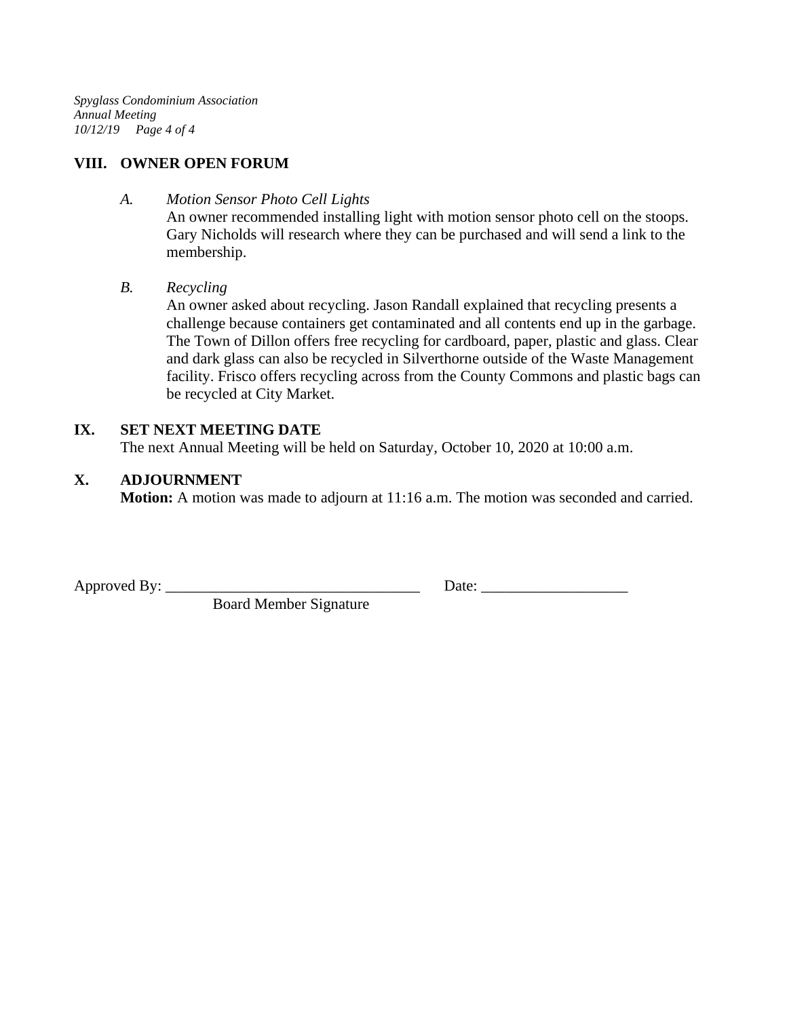*Spyglass Condominium Association Annual Meeting 10/12/19 Page 4 of 4*

# **VIII. OWNER OPEN FORUM**

### *A. Motion Sensor Photo Cell Lights*

An owner recommended installing light with motion sensor photo cell on the stoops. Gary Nicholds will research where they can be purchased and will send a link to the membership.

# *B. Recycling*

An owner asked about recycling. Jason Randall explained that recycling presents a challenge because containers get contaminated and all contents end up in the garbage. The Town of Dillon offers free recycling for cardboard, paper, plastic and glass. Clear and dark glass can also be recycled in Silverthorne outside of the Waste Management facility. Frisco offers recycling across from the County Commons and plastic bags can be recycled at City Market.

# **IX. SET NEXT MEETING DATE**

The next Annual Meeting will be held on Saturday, October 10, 2020 at 10:00 a.m.

# **X. ADJOURNMENT**

**Motion:** A motion was made to adjourn at 11:16 a.m. The motion was seconded and carried.

Board Member Signature

Approved By: \_\_\_\_\_\_\_\_\_\_\_\_\_\_\_\_\_\_\_\_\_\_\_\_\_\_\_\_\_\_\_\_\_ Date: \_\_\_\_\_\_\_\_\_\_\_\_\_\_\_\_\_\_\_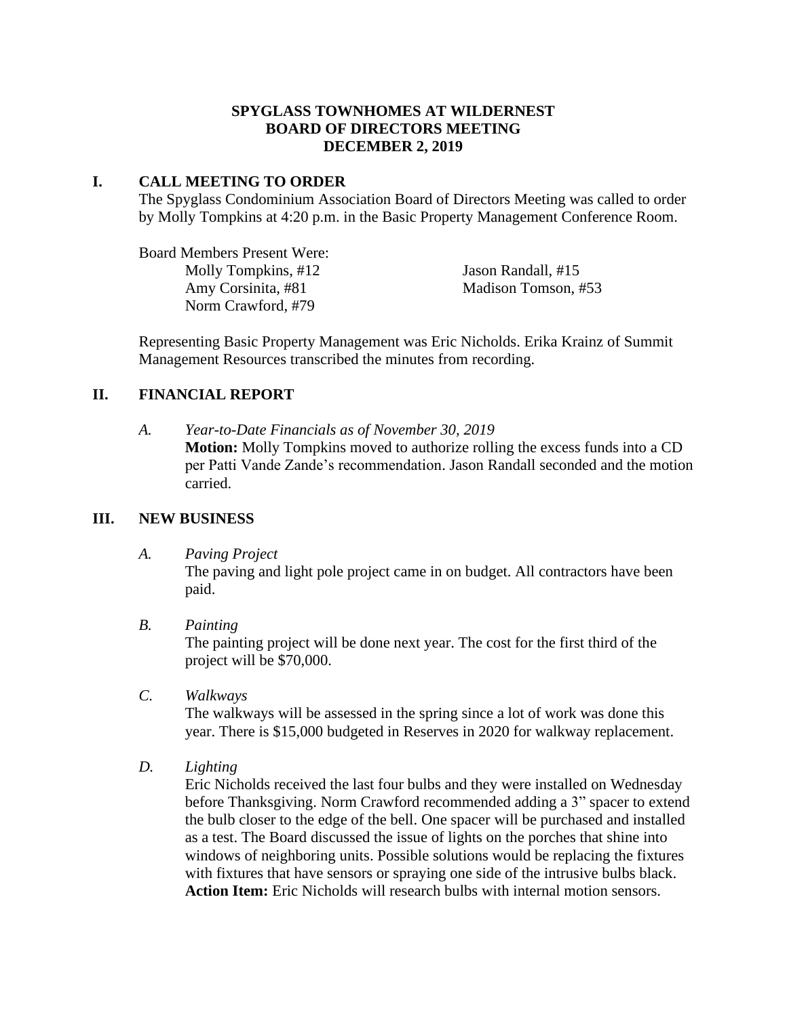### **SPYGLASS TOWNHOMES AT WILDERNEST BOARD OF DIRECTORS MEETING DECEMBER 2, 2019**

### **I. CALL MEETING TO ORDER**

The Spyglass Condominium Association Board of Directors Meeting was called to order by Molly Tompkins at 4:20 p.m. in the Basic Property Management Conference Room.

Board Members Present Were: Molly Tompkins, #12 Jason Randall, #15 Amy Corsinita, #81 Madison Tomson, #53 Norm Crawford, #79

Representing Basic Property Management was Eric Nicholds. Erika Krainz of Summit Management Resources transcribed the minutes from recording.

# **II. FINANCIAL REPORT**

*A. Year-to-Date Financials as of November 30, 2019* **Motion:** Molly Tompkins moved to authorize rolling the excess funds into a CD per Patti Vande Zande's recommendation. Jason Randall seconded and the motion carried.

### **III. NEW BUSINESS**

*A. Paving Project*

The paving and light pole project came in on budget. All contractors have been paid.

*B. Painting*

The painting project will be done next year. The cost for the first third of the project will be \$70,000.

*C. Walkways*

The walkways will be assessed in the spring since a lot of work was done this year. There is \$15,000 budgeted in Reserves in 2020 for walkway replacement.

*D. Lighting*

Eric Nicholds received the last four bulbs and they were installed on Wednesday before Thanksgiving. Norm Crawford recommended adding a 3" spacer to extend the bulb closer to the edge of the bell. One spacer will be purchased and installed as a test. The Board discussed the issue of lights on the porches that shine into windows of neighboring units. Possible solutions would be replacing the fixtures with fixtures that have sensors or spraying one side of the intrusive bulbs black. **Action Item:** Eric Nicholds will research bulbs with internal motion sensors.